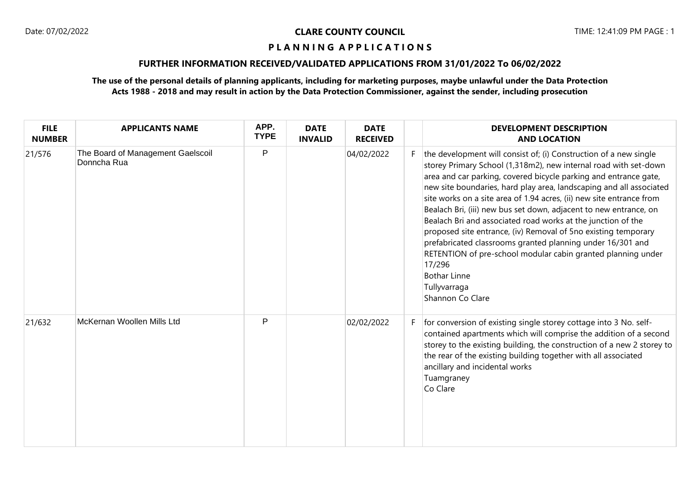# **FURTHER INFORMATION RECEIVED/VALIDATED APPLICATIONS FROM 31/01/2022 To 06/02/2022**

| <b>FILE</b><br><b>NUMBER</b> | <b>APPLICANTS NAME</b>                           | APP.<br><b>TYPE</b> | <b>DATE</b><br><b>INVALID</b> | <b>DATE</b><br><b>RECEIVED</b> |    | <b>DEVELOPMENT DESCRIPTION</b><br><b>AND LOCATION</b>                                                                                                                                                                                                                                                                                                                                                                                                                                                                                                                                                                                                                                                                                                              |
|------------------------------|--------------------------------------------------|---------------------|-------------------------------|--------------------------------|----|--------------------------------------------------------------------------------------------------------------------------------------------------------------------------------------------------------------------------------------------------------------------------------------------------------------------------------------------------------------------------------------------------------------------------------------------------------------------------------------------------------------------------------------------------------------------------------------------------------------------------------------------------------------------------------------------------------------------------------------------------------------------|
| 21/576                       | The Board of Management Gaelscoil<br>Donncha Rua | P                   |                               | 04/02/2022                     | F. | the development will consist of; (i) Construction of a new single<br>storey Primary School (1,318m2), new internal road with set-down<br>area and car parking, covered bicycle parking and entrance gate,<br>new site boundaries, hard play area, landscaping and all associated<br>site works on a site area of 1.94 acres, (ii) new site entrance from<br>Bealach Bri, (iii) new bus set down, adjacent to new entrance, on<br>Bealach Bri and associated road works at the junction of the<br>proposed site entrance, (iv) Removal of 5no existing temporary<br>prefabricated classrooms granted planning under 16/301 and<br>RETENTION of pre-school modular cabin granted planning under<br>17/296<br><b>Bothar Linne</b><br>Tullyvarraga<br>Shannon Co Clare |
| 21/632                       | McKernan Woollen Mills Ltd                       | P                   |                               | 02/02/2022                     | F. | for conversion of existing single storey cottage into 3 No. self-<br>contained apartments which will comprise the addition of a second<br>storey to the existing building, the construction of a new 2 storey to<br>the rear of the existing building together with all associated<br>ancillary and incidental works<br>Tuamgraney<br>Co Clare                                                                                                                                                                                                                                                                                                                                                                                                                     |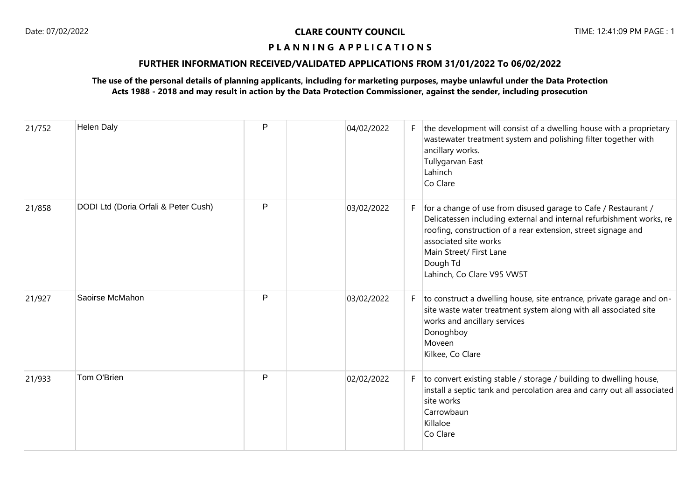## **FURTHER INFORMATION RECEIVED/VALIDATED APPLICATIONS FROM 31/01/2022 To 06/02/2022**

| 21/752 | <b>Helen Daly</b>                    | P | 04/02/2022 |    | the development will consist of a dwelling house with a proprietary<br>wastewater treatment system and polishing filter together with<br>ancillary works.<br>Tullygarvan East<br>Lahinch<br>Co Clare                                                                                                  |
|--------|--------------------------------------|---|------------|----|-------------------------------------------------------------------------------------------------------------------------------------------------------------------------------------------------------------------------------------------------------------------------------------------------------|
| 21/858 | DODI Ltd (Doria Orfali & Peter Cush) | P | 03/02/2022 | F  | for a change of use from disused garage to Cafe / Restaurant /<br>Delicatessen including external and internal refurbishment works, re<br>roofing, construction of a rear extension, street signage and<br>associated site works<br>Main Street/ First Lane<br>Dough Td<br>Lahinch, Co Clare V95 VW5T |
| 21/927 | Saoirse McMahon                      | P | 03/02/2022 | F. | to construct a dwelling house, site entrance, private garage and on-<br>site waste water treatment system along with all associated site<br>works and ancillary services<br>Donoghboy<br>Moveen<br>Kilkee, Co Clare                                                                                   |
| 21/933 | Tom O'Brien                          | P | 02/02/2022 | F  | to convert existing stable / storage / building to dwelling house,<br>install a septic tank and percolation area and carry out all associated<br>site works<br>Carrowbaun<br>Killaloe<br>Co Clare                                                                                                     |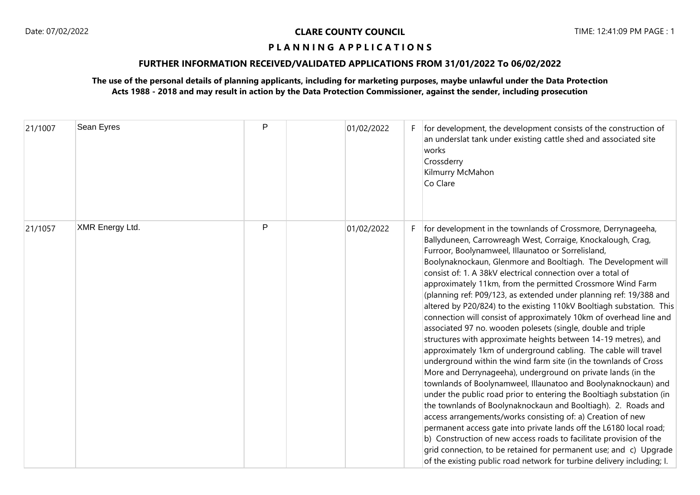## **FURTHER INFORMATION RECEIVED/VALIDATED APPLICATIONS FROM 31/01/2022 To 06/02/2022**

| 21/1007 | Sean Eyres             | P            | 01/02/2022 | F. | for development, the development consists of the construction of<br>an underslat tank under existing cattle shed and associated site<br>works<br>Crossderry<br>Kilmurry McMahon<br>Co Clare                                                                                                                                                                                                                                                                                                                                                                                                                                                                                                                                                                                                                                                                                                                                                                                                                                                                                                                                                                                                                                                                                                                                                                                                                                                                                                                       |
|---------|------------------------|--------------|------------|----|-------------------------------------------------------------------------------------------------------------------------------------------------------------------------------------------------------------------------------------------------------------------------------------------------------------------------------------------------------------------------------------------------------------------------------------------------------------------------------------------------------------------------------------------------------------------------------------------------------------------------------------------------------------------------------------------------------------------------------------------------------------------------------------------------------------------------------------------------------------------------------------------------------------------------------------------------------------------------------------------------------------------------------------------------------------------------------------------------------------------------------------------------------------------------------------------------------------------------------------------------------------------------------------------------------------------------------------------------------------------------------------------------------------------------------------------------------------------------------------------------------------------|
| 21/1057 | <b>XMR Energy Ltd.</b> | $\mathsf{P}$ | 01/02/2022 | F. | for development in the townlands of Crossmore, Derrynageeha,<br>Ballyduneen, Carrowreagh West, Corraige, Knockalough, Crag,<br>Furroor, Boolynamweel, Illaunatoo or Sorrelisland,<br>Boolynaknockaun, Glenmore and Booltiagh. The Development will<br>consist of: 1. A 38kV electrical connection over a total of<br>approximately 11km, from the permitted Crossmore Wind Farm<br>(planning ref: P09/123, as extended under planning ref: 19/388 and<br>altered by P20/824) to the existing 110kV Booltiagh substation. This<br>connection will consist of approximately 10km of overhead line and<br>associated 97 no. wooden polesets (single, double and triple<br>structures with approximate heights between 14-19 metres), and<br>approximately 1km of underground cabling. The cable will travel<br>underground within the wind farm site (in the townlands of Cross<br>More and Derrynageeha), underground on private lands (in the<br>townlands of Boolynamweel, Illaunatoo and Boolynaknockaun) and<br>under the public road prior to entering the Booltiagh substation (in<br>the townlands of Boolynaknockaun and Booltiagh). 2. Roads and<br>access arrangements/works consisting of: a) Creation of new<br>permanent access gate into private lands off the L6180 local road;<br>b) Construction of new access roads to facilitate provision of the<br>grid connection, to be retained for permanent use; and c) Upgrade<br>of the existing public road network for turbine delivery including; I. |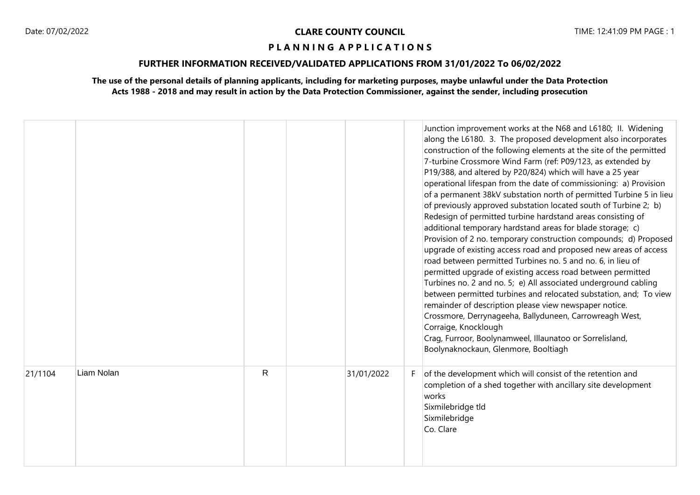## **FURTHER INFORMATION RECEIVED/VALIDATED APPLICATIONS FROM 31/01/2022 To 06/02/2022**

|         |            |              |            | Junction improvement works at the N68 and L6180; II. Widening<br>along the L6180. 3. The proposed development also incorporates<br>construction of the following elements at the site of the permitted<br>7-turbine Crossmore Wind Farm (ref: P09/123, as extended by<br>P19/388, and altered by P20/824) which will have a 25 year<br>operational lifespan from the date of commissioning: a) Provision<br>of a permanent 38kV substation north of permitted Turbine 5 in lieu<br>of previously approved substation located south of Turbine 2; b)<br>Redesign of permitted turbine hardstand areas consisting of<br>additional temporary hardstand areas for blade storage; c)<br>Provision of 2 no. temporary construction compounds; d) Proposed<br>upgrade of existing access road and proposed new areas of access<br>road between permitted Turbines no. 5 and no. 6, in lieu of<br>permitted upgrade of existing access road between permitted<br>Turbines no. 2 and no. 5; e) All associated underground cabling<br>between permitted turbines and relocated substation, and; To view<br>remainder of description please view newspaper notice.<br>Crossmore, Derrynageeha, Ballyduneen, Carrowreagh West,<br>Corraige, Knocklough<br>Crag, Furroor, Boolynamweel, Illaunatoo or Sorrelisland,<br>Boolynaknockaun, Glenmore, Booltiagh |
|---------|------------|--------------|------------|-------------------------------------------------------------------------------------------------------------------------------------------------------------------------------------------------------------------------------------------------------------------------------------------------------------------------------------------------------------------------------------------------------------------------------------------------------------------------------------------------------------------------------------------------------------------------------------------------------------------------------------------------------------------------------------------------------------------------------------------------------------------------------------------------------------------------------------------------------------------------------------------------------------------------------------------------------------------------------------------------------------------------------------------------------------------------------------------------------------------------------------------------------------------------------------------------------------------------------------------------------------------------------------------------------------------------------------------------|
| 21/1104 | Liam Nolan | $\mathsf{R}$ | 31/01/2022 | of the development which will consist of the retention and<br>completion of a shed together with ancillary site development<br>works<br>Sixmilebridge tld<br>Sixmilebridge<br>Co. Clare                                                                                                                                                                                                                                                                                                                                                                                                                                                                                                                                                                                                                                                                                                                                                                                                                                                                                                                                                                                                                                                                                                                                                         |